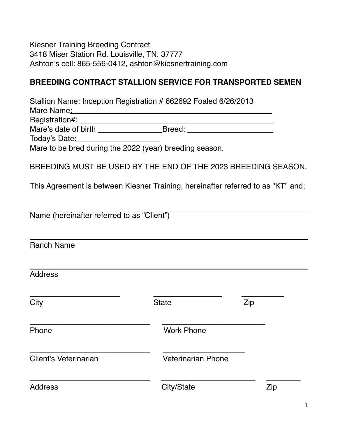Kiesner Training Breeding Contract 3418 Miser Station Rd. Louisville, TN. 37777 Ashton's cell: 865-556-0412, ashton@kiesnertraining.com

## **BREEDING CONTRACT STALLION SERVICE FOR TRANSPORTED SEMEN**

Stallion Name: Inception Registration # 662692 Foaled 6/26/2013

Mare Name: \_\_\_\_\_\_\_\_\_\_\_\_\_\_\_\_\_\_\_\_\_\_\_\_\_\_\_\_\_\_\_\_\_\_\_\_\_\_\_\_\_\_\_\_\_\_

Registration#: \_\_\_\_\_\_\_\_\_\_\_\_\_\_\_\_\_\_\_\_\_\_\_\_\_\_\_\_\_\_\_\_\_\_\_\_\_\_\_\_\_\_\_\_\_ Mare's date of birth \_\_\_\_\_\_\_\_\_\_\_\_\_\_\_Breed: \_\_\_\_\_\_\_\_\_\_\_\_\_\_\_\_\_\_\_\_

Today's Date:

Mare to be bred during the 2022 (year) breeding season.

BREEDING MUST BE USED BY THE END OF THE 2023 BREEDING SEASON.

This Agreement is between Kiesner Training, hereinafter referred to as "KT" and;

Name (hereinafter referred to as "Client")

Ranch Name

Address

| City                  | <b>State</b>              | Zip |  |
|-----------------------|---------------------------|-----|--|
| Phone                 | <b>Work Phone</b>         |     |  |
| Client's Veterinarian | <b>Veterinarian Phone</b> |     |  |
| <b>Address</b>        | City/State                | Zip |  |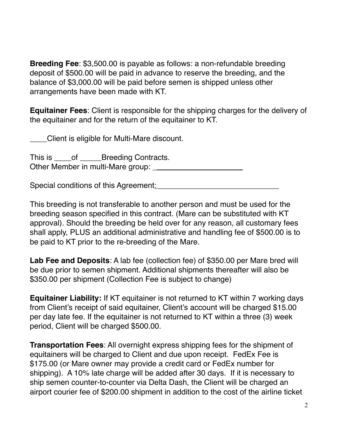**Breeding Fee**: \$3,500.00 is payable as follows: a non-refundable breeding deposit of \$500.00 will be paid in advance to reserve the breeding, and the balance of \$3,000.00 will be paid before semen is shipped unless other arrangements have been made with KT.

**Equitainer Fees**: Client is responsible for the shipping charges for the delivery of the equitainer and for the return of the equitainer to KT.

\_\_\_\_Client is eligible for Multi-Mare discount.

This is \_\_\_\_\_of \_\_\_\_\_\_\_Breeding Contracts. Other Member in multi-Mare group:

Special conditions of this Agreement: \_\_\_\_\_\_\_\_\_\_\_\_\_\_\_\_\_\_\_\_\_\_\_\_\_\_\_\_

This breeding is not transferable to another person and must be used for the breeding season specified in this contract. (Mare can be substituted with KT approval). Should the breeding be held over for any reason, all customary fees shall apply, PLUS an additional administrative and handling fee of \$500.00 is to be paid to KT prior to the re-breeding of the Mare.

**Lab Fee and Deposits**: A lab fee (collection fee) of \$350.00 per Mare bred will be due prior to semen shipment. Additional shipments thereafter will also be \$350.00 per shipment (Collection Fee is subject to change)

**Equitainer Liability:** If KT equitainer is not returned to KT within 7 working days from Client's receipt of said equitainer, Client's account will be charged \$15.00 per day late fee. If the equitainer is not returned to KT within a three (3) week period, Client will be charged \$500.00.

**Transportation Fees**: All overnight express shipping fees for the shipment of equitainers will be charged to Client and due upon receipt. FedEx Fee is \$175.00 (or Mare owner may provide a credit card or FedEx number for shipping). A 10% late charge will be added after 30 days. If it is necessary to ship semen counter-to-counter via Delta Dash, the Client will be charged an airport courier fee of \$200.00 shipment in addition to the cost of the airline ticket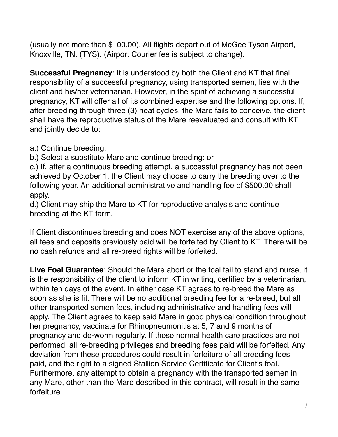(usually not more than \$100.00). All flights depart out of McGee Tyson Airport, Knoxville, TN. (TYS). (Airport Courier fee is subject to change).

**Successful Pregnancy**: It is understood by both the Client and KT that final responsibility of a successful pregnancy, using transported semen, lies with the client and his/her veterinarian. However, in the spirit of achieving a successful pregnancy, KT will offer all of its combined expertise and the following options. If, after breeding through three (3) heat cycles, the Mare fails to conceive, the client shall have the reproductive status of the Mare reevaluated and consult with KT and jointly decide to:

a.) Continue breeding.

b.) Select a substitute Mare and continue breeding: or

c.) If, after a continuous breeding attempt, a successful pregnancy has not been achieved by October 1, the Client may choose to carry the breeding over to the following year. An additional administrative and handling fee of \$500.00 shall apply.

d.) Client may ship the Mare to KT for reproductive analysis and continue breeding at the KT farm.

If Client discontinues breeding and does NOT exercise any of the above options, all fees and deposits previously paid will be forfeited by Client to KT. There will be no cash refunds and all re-breed rights will be forfeited.

**Live Foal Guarantee**: Should the Mare abort or the foal fail to stand and nurse, it is the responsibility of the client to inform KT in writing, certified by a veterinarian, within ten days of the event. In either case KT agrees to re-breed the Mare as soon as she is fit. There will be no additional breeding fee for a re-breed, but all other transported semen fees, including administrative and handling fees will apply. The Client agrees to keep said Mare in good physical condition throughout her pregnancy, vaccinate for Rhinopneumonitis at 5, 7 and 9 months of pregnancy and de-worm regularly. If these normal health care practices are not performed, all re-breeding privileges and breeding fees paid will be forfeited. Any deviation from these procedures could result in forfeiture of all breeding fees paid, and the right to a signed Stallion Service Certificate for Client's foal. Furthermore, any attempt to obtain a pregnancy with the transported semen in any Mare, other than the Mare described in this contract, will result in the same forfeiture.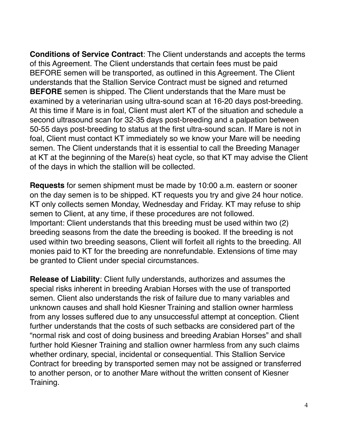**Conditions of Service Contract**: The Client understands and accepts the terms of this Agreement. The Client understands that certain fees must be paid BEFORE semen will be transported, as outlined in this Agreement. The Client understands that the Stallion Service Contract must be signed and returned **BEFORE** semen is shipped. The Client understands that the Mare must be examined by a veterinarian using ultra-sound scan at 16-20 days post-breeding. At this time if Mare is in foal, Client must alert KT of the situation and schedule a second ultrasound scan for 32-35 days post-breeding and a palpation between 50-55 days post-breeding to status at the first ultra-sound scan. If Mare is not in foal, Client must contact KT immediately so we know your Mare will be needing semen. The Client understands that it is essential to call the Breeding Manager at KT at the beginning of the Mare(s) heat cycle, so that KT may advise the Client of the days in which the stallion will be collected.

**Requests** for semen shipment must be made by 10:00 a.m. eastern or sooner on the day semen is to be shipped. KT requests you try and give 24 hour notice. KT only collects semen Monday, Wednesday and Friday. KT may refuse to ship semen to Client, at any time, if these procedures are not followed. Important: Client understands that this breeding must be used within two (2) breeding seasons from the date the breeding is booked. If the breeding is not used within two breeding seasons, Client will forfeit all rights to the breeding. All monies paid to KT for the breeding are nonrefundable. Extensions of time may be granted to Client under special circumstances.

**Release of Liability**: Client fully understands, authorizes and assumes the special risks inherent in breeding Arabian Horses with the use of transported semen. Client also understands the risk of failure due to many variables and unknown causes and shall hold Kiesner Training and stallion owner harmless from any losses suffered due to any unsuccessful attempt at conception. Client further understands that the costs of such setbacks are considered part of the "normal risk and cost of doing business and breeding Arabian Horses" and shall further hold Kiesner Training and stallion owner harmless from any such claims whether ordinary, special, incidental or consequential. This Stallion Service Contract for breeding by transported semen may not be assigned or transferred to another person, or to another Mare without the written consent of Kiesner Training.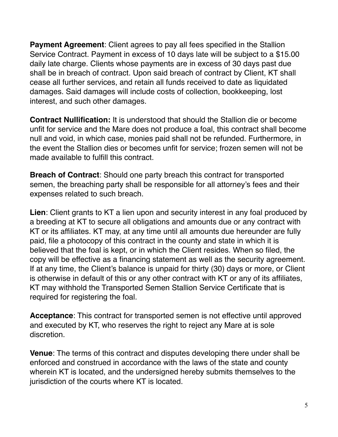**Payment Agreement**: Client agrees to pay all fees specified in the Stallion Service Contract. Payment in excess of 10 days late will be subject to a \$15.00 daily late charge. Clients whose payments are in excess of 30 days past due shall be in breach of contract. Upon said breach of contract by Client, KT shall cease all further services, and retain all funds received to date as liquidated damages. Said damages will include costs of collection, bookkeeping, lost interest, and such other damages.

**Contract Nullification:** It is understood that should the Stallion die or become unfit for service and the Mare does not produce a foal, this contract shall become null and void, in which case, monies paid shall not be refunded. Furthermore, in the event the Stallion dies or becomes unfit for service; frozen semen will not be made available to fulfill this contract.

**Breach of Contract**: Should one party breach this contract for transported semen, the breaching party shall be responsible for all attorney's fees and their expenses related to such breach.

**Lien**: Client grants to KT a lien upon and security interest in any foal produced by a breeding at KT to secure all obligations and amounts due or any contract with KT or its affiliates. KT may, at any time until all amounts due hereunder are fully paid, file a photocopy of this contract in the county and state in which it is believed that the foal is kept, or in which the Client resides. When so filed, the copy will be effective as a financing statement as well as the security agreement. If at any time, the Client's balance is unpaid for thirty (30) days or more, or Client is otherwise in default of this or any other contract with KT or any of its affiliates, KT may withhold the Transported Semen Stallion Service Certificate that is required for registering the foal.

**Acceptance**: This contract for transported semen is not effective until approved and executed by KT, who reserves the right to reject any Mare at is sole discretion.

**Venue**: The terms of this contract and disputes developing there under shall be enforced and construed in accordance with the laws of the state and county wherein KT is located, and the undersigned hereby submits themselves to the jurisdiction of the courts where KT is located.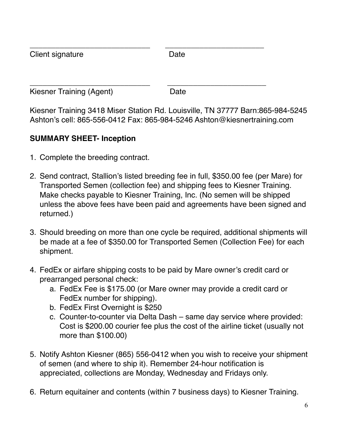| Client signature         | Date |  |
|--------------------------|------|--|
| Kiesner Training (Agent) | Date |  |

Kiesner Training 3418 Miser Station Rd. Louisville, TN 37777 Barn:865-984-5245 Ashton's cell: 865-556-0412 Fax: 865-984-5246 Ashton@kiesnertraining.com

## **SUMMARY SHEET- Inception**

- 1. Complete the breeding contract.
- 2. Send contract, Stallion's listed breeding fee in full, \$350.00 fee (per Mare) for Transported Semen (collection fee) and shipping fees to Kiesner Training. Make checks payable to Kiesner Training, Inc. (No semen will be shipped unless the above fees have been paid and agreements have been signed and returned.)
- 3. Should breeding on more than one cycle be required, additional shipments will be made at a fee of \$350.00 for Transported Semen (Collection Fee) for each shipment.
- 4. FedEx or airfare shipping costs to be paid by Mare owner's credit card or prearranged personal check:
	- a. FedEx Fee is \$175.00 (or Mare owner may provide a credit card or FedEx number for shipping).
	- b. FedEx First Overnight is \$250
	- c. Counter-to-counter via Delta Dash same day service where provided: Cost is \$200.00 courier fee plus the cost of the airline ticket (usually not more than \$100.00)
- 5. Notify Ashton Kiesner (865) 556-0412 when you wish to receive your shipment of semen (and where to ship it). Remember 24-hour notification is appreciated, collections are Monday, Wednesday and Fridays only.
- 6. Return equitainer and contents (within 7 business days) to Kiesner Training.